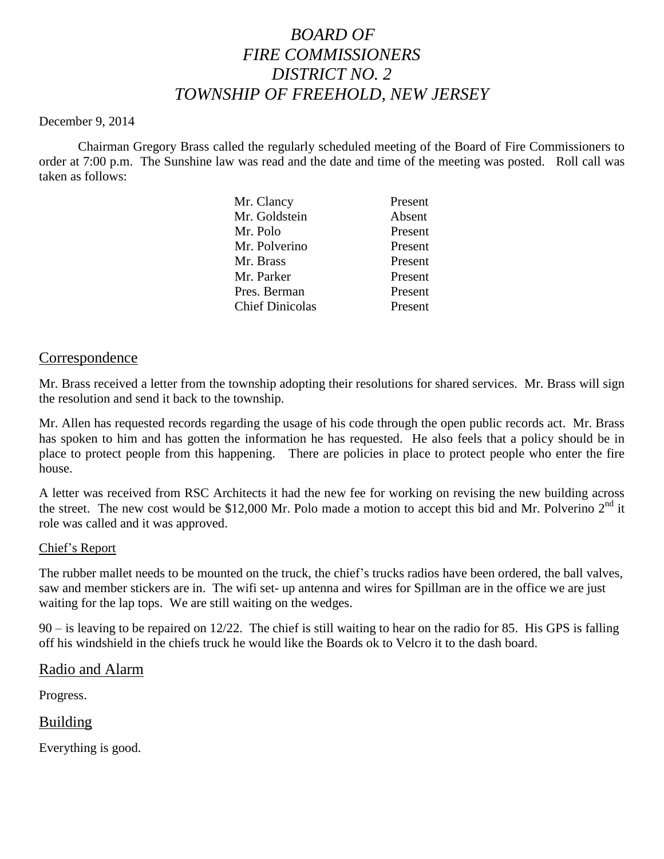# *BOARD OF FIRE COMMISSIONERS DISTRICT NO. 2 TOWNSHIP OF FREEHOLD, NEW JERSEY*

#### December 9, 2014

Chairman Gregory Brass called the regularly scheduled meeting of the Board of Fire Commissioners to order at 7:00 p.m. The Sunshine law was read and the date and time of the meeting was posted. Roll call was taken as follows:

|  | Mr. Clancy             | Present |
|--|------------------------|---------|
|  | Mr. Goldstein          | Absent  |
|  | Mr. Polo               | Present |
|  | Mr. Polverino          | Present |
|  | Mr. Brass              | Present |
|  | Mr. Parker             | Present |
|  | Pres. Berman           | Present |
|  | <b>Chief Dinicolas</b> | Present |
|  |                        |         |

#### Correspondence

Mr. Brass received a letter from the township adopting their resolutions for shared services. Mr. Brass will sign the resolution and send it back to the township.

Mr. Allen has requested records regarding the usage of his code through the open public records act. Mr. Brass has spoken to him and has gotten the information he has requested. He also feels that a policy should be in place to protect people from this happening. There are policies in place to protect people who enter the fire house.

A letter was received from RSC Architects it had the new fee for working on revising the new building across the street. The new cost would be \$12,000 Mr. Polo made a motion to accept this bid and Mr. Polverino  $2<sup>nd</sup>$  it role was called and it was approved.

#### Chief's Report

The rubber mallet needs to be mounted on the truck, the chief's trucks radios have been ordered, the ball valves, saw and member stickers are in. The wifi set- up antenna and wires for Spillman are in the office we are just waiting for the lap tops. We are still waiting on the wedges.

90 – is leaving to be repaired on 12/22. The chief is still waiting to hear on the radio for 85. His GPS is falling off his windshield in the chiefs truck he would like the Boards ok to Velcro it to the dash board.

#### Radio and Alarm

Progress.

## Building

Everything is good.